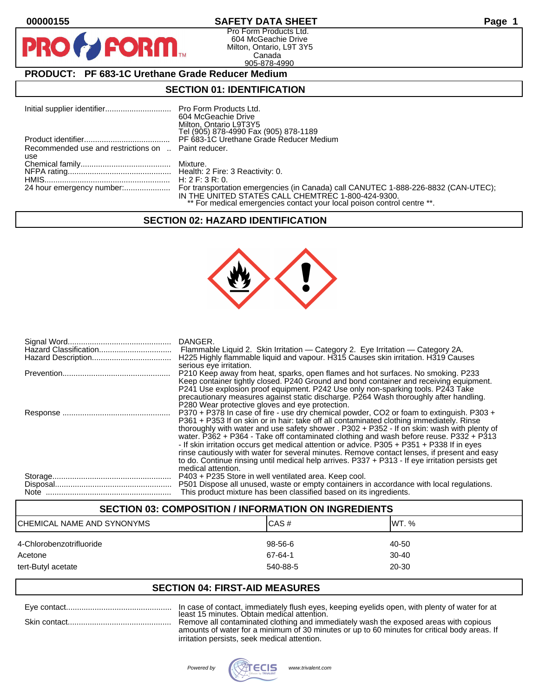D

# **00000155 SAFETY DATA SHEET Page 1**

Pro Form Products Ltd. 604 McGeachie Drive Milton, Ontario, L9T 3Y5 Canada 905-878-4990

# **PRODUCT: PF 683-1C Urethane Grade Reducer Medium**

FORM

### **SECTION 01: IDENTIFICATION**

|                                                     | 604 McGeachie Drive<br>Milton, Ontario L9T3Y5<br>Tel (905) 878-4990 Fax (905) 878-1189                                        |
|-----------------------------------------------------|-------------------------------------------------------------------------------------------------------------------------------|
|                                                     | PF 683-1C Urethane Grade Reducer Medium                                                                                       |
| Recommended use and restrictions on  Paint reducer. |                                                                                                                               |
| use                                                 |                                                                                                                               |
|                                                     |                                                                                                                               |
|                                                     |                                                                                                                               |
|                                                     |                                                                                                                               |
|                                                     | IN THE UNITED STATES CALL CHEMTREC 1-800-424-9300.<br>** For medical emergencies contact your local poison control centre **. |

### **SECTION 02: HAZARD IDENTIFICATION**



| DANGER.<br>Flammable Liquid 2. Skin Irritation — Category 2. Eye Irritation — Category 2A.<br>H225 Highly flammable liquid and vapour. H315 Causes skin irritation. H319 Causes<br>serious eye irritation.                                                                                                                                                                                                                                                                                                                                                                                                                                                                                           |
|------------------------------------------------------------------------------------------------------------------------------------------------------------------------------------------------------------------------------------------------------------------------------------------------------------------------------------------------------------------------------------------------------------------------------------------------------------------------------------------------------------------------------------------------------------------------------------------------------------------------------------------------------------------------------------------------------|
| P210 Keep away from heat, sparks, open flames and hot surfaces. No smoking. P233<br>Keep container tightly closed. P240 Ground and bond container and receiving equipment.<br>P241 Use explosion proof equipment. P242 Use only non-sparking tools. P243 Take<br>precautionary measures against static discharge. P264 Wash thoroughly after handling.<br>P280 Wear protective gloves and eye protection.                                                                                                                                                                                                                                                                                            |
| P370 + P378 In case of fire - use dry chemical powder, CO2 or foam to extinguish. P303 +<br>P361 + P353 If on skin or in hair: take off all contaminated clothing immediately. Rinse<br>thoroughly with water and use safety shower . P302 + P352 - If on skin: wash with plenty of<br>water. P362 + P364 - Take off contaminated clothing and wash before reuse. P332 + P313<br>- If skin irritation occurs get medical attention or advice. P305 + P351 + P338 If in eyes<br>rinse cautiously with water for several minutes. Remove contact lenses, if present and easy<br>to do. Continue rinsing until medical help arrives. P337 + P313 - If eye irritation persists get<br>medical attention. |
| P403 + P235 Store in well ventilated area. Keep cool.<br>P501 Dispose all unused, waste or empty containers in accordance with local regulations.<br>This product mixture has been classified based on its ingredients.                                                                                                                                                                                                                                                                                                                                                                                                                                                                              |

### **SECTION 03: COMPOSITION / INFORMATION ON INGREDIENTS**

| CHEMICAL NAME AND SYNONYMS | ICAS#    | IWT. %    |
|----------------------------|----------|-----------|
| 4-Chlorobenzotrifluoride   | 98-56-6  | 40-50     |
| Acetone                    | 67-64-1  | $30 - 40$ |
| tert-Butyl acetate         | 540-88-5 | 20-30     |

### **SECTION 04: FIRST-AID MEASURES**

| Eve contact  | In case of contact, immediately flush eyes, keeping eyelids open, with plenty of water for a |
|--------------|----------------------------------------------------------------------------------------------|
|              | least 15 minutes. Obtain medical attention.                                                  |
| Skin contact | Remove all contaminated clothing and immediately wash the exposed areas with copious         |
|              |                                                                                              |
|              | amounts of water for a minimum of 30 minutes or up to 60 minutes for critical body areas.    |

amounts of water for a minimum of 30 minutes or up to 60 minutes for critical body areas. If irritation persists, seek medical attention.

plenty of water for at

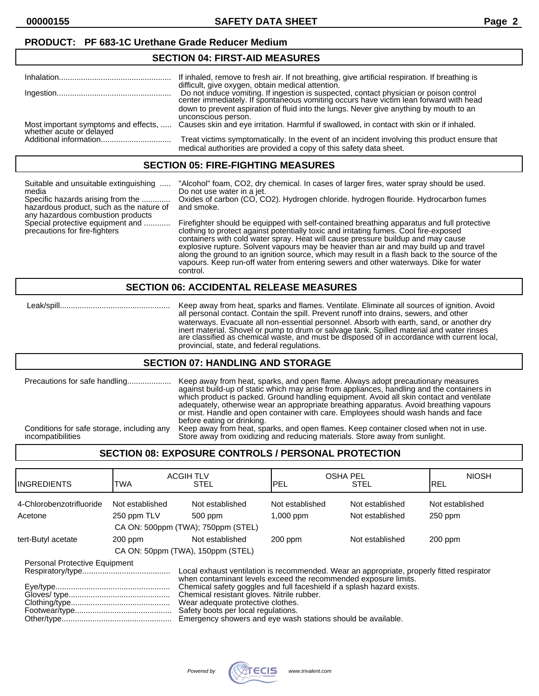### **PRODUCT: PF 683-1C Urethane Grade Reducer Medium**

### **SECTION 04: FIRST-AID MEASURES**

|                                                                  | If inhaled, remove to fresh air. If not breathing, give artificial respiration. If breathing is                                                                                                                                   |
|------------------------------------------------------------------|-----------------------------------------------------------------------------------------------------------------------------------------------------------------------------------------------------------------------------------|
|                                                                  | difficult, give oxygen, obtain medical attention.<br>Do not induce vomiting. If ingestion is suspected, contact physician or poison control center immediately. If spontaneous vomiting occurs have victim lean forward with head |
|                                                                  | down to prevent aspiration of fluid into the lungs. Never give anything by mouth to an<br>unconscious person.                                                                                                                     |
| Most important symptoms and effects,<br>whether acute or delayed | Causes skin and eye irritation. Harmful if swallowed, in contact with skin or if inhaled.                                                                                                                                         |
|                                                                  | Treat victims symptomatically. In the event of an incident involving this product ensure that<br>medical authorities are provided a copy of this safety data sheet.                                                               |

#### **SECTION 05: FIRE-FIGHTING MEASURES**

| Suitable and unsuitable extinguishing<br>media<br>Specific hazards arising from the<br>hazardous product, such as the nature of<br>any hazardous combustion products<br>Special protective equipment and<br>precautions for fire-fighters | "Alcohol" foam, CO2, dry chemical. In cases of larger fires, water spray should be used.<br>Do not use water in a jet.<br>Oxides of carbon (CO, CO2). Hydrogen chloride. hydrogen flouride. Hydrocarbon fumes<br>and smoke.<br>Firefighter should be equipped with self-contained breathing apparatus and full protective                                                                                                                                                |
|-------------------------------------------------------------------------------------------------------------------------------------------------------------------------------------------------------------------------------------------|--------------------------------------------------------------------------------------------------------------------------------------------------------------------------------------------------------------------------------------------------------------------------------------------------------------------------------------------------------------------------------------------------------------------------------------------------------------------------|
|                                                                                                                                                                                                                                           | clothing to protect against potentially toxic and irritating fumes. Cool fire-exposed<br>containers with cold water spray. Heat will cause pressure buildup and may cause<br>explosive rupture. Solvent vapours may be heavier than air and may build up and travel<br>along the ground to an ignition source, which may result in a flash back to the source of the<br>vapours. Keep run-off water from entering sewers and other waterways. Dike for water<br>control. |
|                                                                                                                                                                                                                                           | <b>SECTION 06: ACCIDENTAL RELEASE MEASURES</b>                                                                                                                                                                                                                                                                                                                                                                                                                           |

 Leak/spill.................................................. Keep away from heat, sparks and flames. Ventilate. Eliminate all sources of ignition. Avoid all personal contact. Contain the spill. Prevent runoff into drains, sewers, and other waterways. Evacuate all non-essential personnel. Absorb with earth, sand, or another dry inert material. Shovel or pump to drum or salvage tank. Spilled material and water rinses are classified as chemical waste, and must be disposed of in accordance with current local, provincial, state, and federal regulations.

### **SECTION 07: HANDLING AND STORAGE**

| Precautions for safe handling              | Keep away from heat, sparks, and open flame. Always adopt precautionary measures<br>against build-up of static which may arise from appliances, handling and the containers in<br>which product is packed. Ground handling equipment. Avoid all skin contact and ventilate<br>adequately, otherwise wear an appropriate breathing apparatus. Avoid breathing vapours<br>or mist. Handle and open container with care. Employees should wash hands and face<br>before eating or drinking. |
|--------------------------------------------|------------------------------------------------------------------------------------------------------------------------------------------------------------------------------------------------------------------------------------------------------------------------------------------------------------------------------------------------------------------------------------------------------------------------------------------------------------------------------------------|
| Conditions for safe storage, including any | Keep away from heat, sparks, and open flames. Keep container closed when not in use.                                                                                                                                                                                                                                                                                                                                                                                                     |
| incompatibilities                          | Store away from oxidizing and reducing materials. Store away from sunlight.                                                                                                                                                                                                                                                                                                                                                                                                              |

# **SECTION 08: EXPOSURE CONTROLS / PERSONAL PROTECTION**

| <b>INGREDIENTS</b>                                                                                                                                                                                                                                                                                                                                                   | TWA             | <b>ACGIH TLV</b><br><b>STEL</b>    | lpel                                                                                      | <b>OSHA PEL</b><br><b>STEL</b> | <b>NIOSH</b><br>IREL |
|----------------------------------------------------------------------------------------------------------------------------------------------------------------------------------------------------------------------------------------------------------------------------------------------------------------------------------------------------------------------|-----------------|------------------------------------|-------------------------------------------------------------------------------------------|--------------------------------|----------------------|
| 4-Chlorobenzotrifluoride                                                                                                                                                                                                                                                                                                                                             | Not established | Not established                    | Not established                                                                           | Not established                | Not established      |
| Acetone                                                                                                                                                                                                                                                                                                                                                              | 250 ppm TLV     | 500 ppm                            | $1,000$ ppm                                                                               | Not established                | $250$ ppm            |
|                                                                                                                                                                                                                                                                                                                                                                      |                 | CA ON: 500ppm (TWA); 750ppm (STEL) |                                                                                           |                                |                      |
| tert-Butyl acetate                                                                                                                                                                                                                                                                                                                                                   | $200$ ppm       | Not established                    | $200$ ppm                                                                                 | Not established                | $200$ ppm            |
|                                                                                                                                                                                                                                                                                                                                                                      |                 | CA ON: 50ppm (TWA), 150ppm (STEL)  |                                                                                           |                                |                      |
| Personal Protective Equipment<br>when contaminant levels exceed the recommended exposure limits.<br>Chemical safety goggles and full faceshield if a splash hazard exists.<br>Chemical resistant gloves. Nitrile rubber.<br>Wear adequate protective clothes.<br>Safety boots per local regulations.<br>Emergency showers and eye wash stations should be available. |                 |                                    | Local exhaust ventilation is recommended. Wear an appropriate, properly fitted respirator |                                |                      |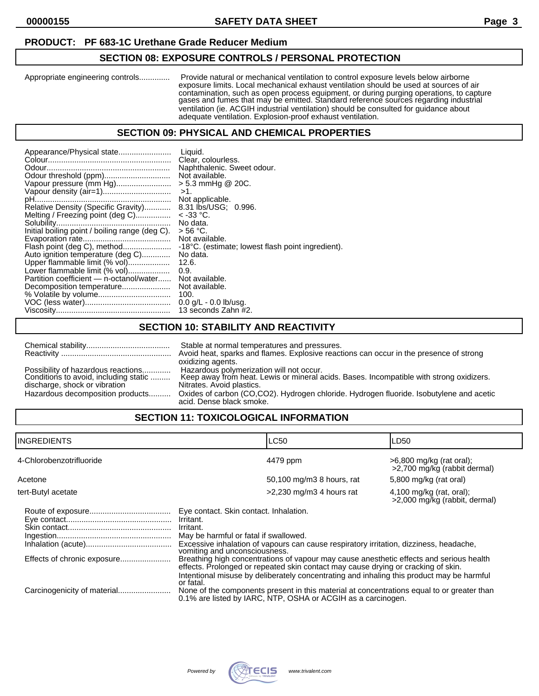# **PRODUCT: PF 683-1C Urethane Grade Reducer Medium**

# **SECTION 08: EXPOSURE CONTROLS / PERSONAL PROTECTION**

Appropriate engineering controls.............. Provide natural or mechanical ventilation to control exposure levels below airborne exposure limits. Local mechanical exhaust ventilation should be used at sources of air contamination, such as open process equipment, or during purging operations, to capture gases and fumes that may be emitted. Standard reference sources regarding industrial ventilation (ie. ACGIH industrial ventilation) should be consulted for guidance about adequate ventilation. Explosion-proof exhaust ventilation.

### **SECTION 09: PHYSICAL AND CHEMICAL PROPERTIES**

| Appearance/Physical state                      | Liauid.                                           |
|------------------------------------------------|---------------------------------------------------|
|                                                | Clear. colourless.                                |
|                                                | Naphthalenic. Sweet odour.                        |
|                                                | Not available.                                    |
| Vapour pressure (mm Hg)                        | $> 5.3$ mmHg @ 20C.                               |
|                                                | $>1$ .                                            |
|                                                | Not applicable.                                   |
| Relative Density (Specific Gravity)            | 8.31 lbs/USG; 0.996.                              |
| Melting / Freezing point (deg C)               | $<$ -33 °C.                                       |
|                                                | No data.                                          |
| Initial boiling point / boiling range (deg C). | > 56 °C.                                          |
|                                                | Not available.                                    |
| Flash point (deg C), method                    | -18°C. (estimate; lowest flash point ingredient). |
| Auto ignition temperature (deg C)              | No data.                                          |
| Upper flammable limit (% vol)                  | 12.6.                                             |
| Lower flammable limit (% vol)                  | 0.9.                                              |
| Partition coefficient — n-octanol/water        | Not available.                                    |
| Decomposition temperature                      | Not available.                                    |
|                                                | 100.                                              |
|                                                | $0.0$ g/L - 0.0 lb/usg.                           |
|                                                | 13 seconds Zahn #2.                               |
|                                                |                                                   |

### **SECTION 10: STABILITY AND REACTIVITY**

|                                                                                                                                                  | Stable at normal temperatures and pressures.                                                                                                                                                                                                                                                                 |
|--------------------------------------------------------------------------------------------------------------------------------------------------|--------------------------------------------------------------------------------------------------------------------------------------------------------------------------------------------------------------------------------------------------------------------------------------------------------------|
|                                                                                                                                                  | Avoid heat, sparks and flames. Explosive reactions can occur in the presence of strong                                                                                                                                                                                                                       |
| Possibility of hazardous reactions<br>Conditions to avoid, including static<br>discharge, shock or vibration<br>Hazardous decomposition products | oxidizing agents.<br>Hazardous polymerization will not occur.<br>Keep away from heat. Lewis or mineral acids. Bases. Incompatible with strong oxidizers.<br>Nitrates. Avoid plastics.<br>Oxides of carbon (CO,CO2). Hydrogen chloride. Hydrogen fluoride. Isobutylene and acetic<br>acid. Dense black smoke. |

# **SECTION 11: TOXICOLOGICAL INFORMATION**

| <b>INGREDIENTS</b>          |                                                                                                                                                         | <b>LC50</b>                                                                                                                                                                                                                                                                                                                                                         | LD50                                                        |
|-----------------------------|---------------------------------------------------------------------------------------------------------------------------------------------------------|---------------------------------------------------------------------------------------------------------------------------------------------------------------------------------------------------------------------------------------------------------------------------------------------------------------------------------------------------------------------|-------------------------------------------------------------|
| 4-Chlorobenzotrifluoride    |                                                                                                                                                         | 4479 ppm                                                                                                                                                                                                                                                                                                                                                            | $>6,800$ mg/kg (rat oral);<br>>2,700 mg/kg (rabbit dermal)  |
| Acetone                     |                                                                                                                                                         | 50,100 mg/m3 8 hours, rat                                                                                                                                                                                                                                                                                                                                           | 5,800 mg/kg (rat oral)                                      |
| tert-Butyl acetate          |                                                                                                                                                         | $>2,230$ mg/m3 4 hours rat                                                                                                                                                                                                                                                                                                                                          | $4,100$ mg/kg (rat, oral);<br>>2,000 mg/kg (rabbit, dermal) |
|                             | Eye contact. Skin contact. Inhalation.<br>Irritant.<br>Irritant.<br>May be harmful or fatal if swallowed.<br>vomiting and unconsciousness.<br>or fatal. | Excessive inhalation of vapours can cause respiratory irritation, dizziness, headache,<br>Breathing high concentrations of vapour may cause anesthetic effects and serious health<br>effects. Prolonged or repeated skin contact may cause drying or cracking of skin.<br>Intentional misuse by deliberately concentrating and inhaling this product may be harmful |                                                             |
| Carcinogenicity of material |                                                                                                                                                         | None of the components present in this material at concentrations equal to or greater than<br>0.1% are listed by IARC, NTP, OSHA or ACGIH as a carcinogen.                                                                                                                                                                                                          |                                                             |